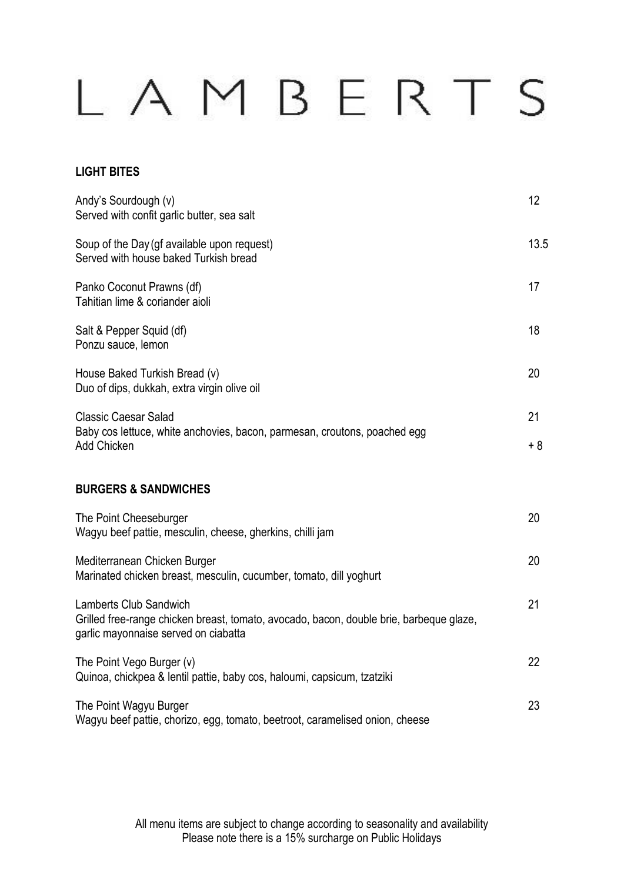## LAMBERTS

## **LIGHT BITES**

| Andy's Sourdough (v)<br>Served with confit garlic butter, sea salt                                                                                               | 12        |
|------------------------------------------------------------------------------------------------------------------------------------------------------------------|-----------|
| Soup of the Day (gf available upon request)<br>Served with house baked Turkish bread                                                                             | 13.5      |
| Panko Coconut Prawns (df)<br>Tahitian lime & coriander aioli                                                                                                     | 17        |
| Salt & Pepper Squid (df)<br>Ponzu sauce, lemon                                                                                                                   | 18        |
| House Baked Turkish Bread (v)<br>Duo of dips, dukkah, extra virgin olive oil                                                                                     | 20        |
| <b>Classic Caesar Salad</b><br>Baby cos lettuce, white anchovies, bacon, parmesan, croutons, poached egg<br>Add Chicken                                          | 21<br>+ 8 |
| <b>BURGERS &amp; SANDWICHES</b>                                                                                                                                  |           |
| The Point Cheeseburger<br>Wagyu beef pattie, mesculin, cheese, gherkins, chilli jam                                                                              | 20        |
| Mediterranean Chicken Burger<br>Marinated chicken breast, mesculin, cucumber, tomato, dill yoghurt                                                               | 20        |
| <b>Lamberts Club Sandwich</b><br>Grilled free-range chicken breast, tomato, avocado, bacon, double brie, barbeque glaze,<br>garlic mayonnaise served on ciabatta | 21        |
| The Point Vego Burger (v)<br>Quinoa, chickpea & lentil pattie, baby cos, haloumi, capsicum, tzatziki                                                             | 22        |
| The Point Wagyu Burger<br>Wagyu beef pattie, chorizo, egg, tomato, beetroot, caramelised onion, cheese                                                           | 23        |